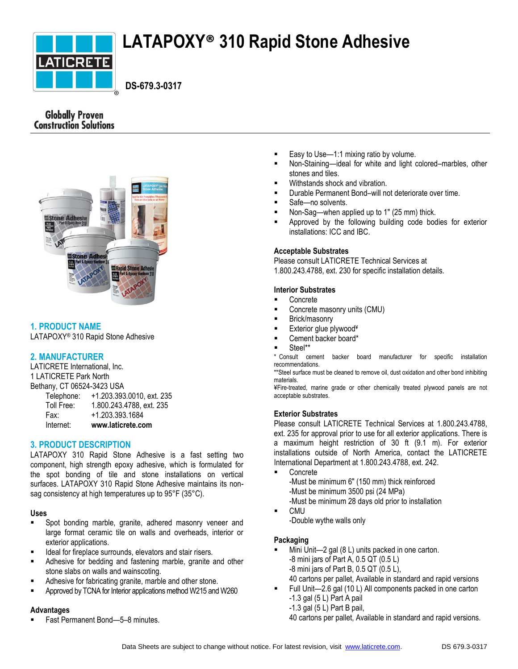

# **LATAPOXY® 310 Rapid Stone Adhesive**

 **DS-679.3-0317**

# **Globally Proven Construction Solutions**



# **1. PRODUCT NAME**

LATAPOXY® 310 Rapid Stone Adhesive

# **2. MANUFACTURER**

LATICRETE International, Inc. 1 LATICRETE Park North Bethany, CT 06524-3423 USA

| Internet:  | www.laticrete.com         |
|------------|---------------------------|
| Fax:       | +1.203.393.1684           |
| Toll Free: | 1.800.243.4788, ext. 235  |
| Telephone: | +1.203.393.0010, ext. 235 |

# **3. PRODUCT DESCRIPTION**

LATAPOXY 310 Rapid Stone Adhesive is a fast setting two component, high strength epoxy adhesive, which is formulated for the spot bonding of tile and stone installations on vertical surfaces. LATAPOXY 310 Rapid Stone Adhesive maintains its nonsag consistency at high temperatures up to 95°F (35°C).

### **Uses**

- **Spot bonding marble, granite, adhered masonry veneer and** large format ceramic tile on walls and overheads, interior or exterior applications.
- Ideal for fireplace surrounds, elevators and stair risers.
- Adhesive for bedding and fastening marble, granite and other stone slabs on walls and wainscoting.
- Adhesive for fabricating granite, marble and other stone.
- Approved by TCNA for Interior applications method W215 and W260

### **Advantages**

Fast Permanent Bond—5–8 minutes.

- Easy to Use—1:1 mixing ratio by volume.
- Non-Staining—ideal for white and light colored–marbles, other stones and tiles.
- Withstands shock and vibration.
- Durable Permanent Bond–will not deteriorate over time.
- Safe—no solvents.
- Non-Sag—when applied up to 1" (25 mm) thick.
- Approved by the following building code bodies for exterior installations: ICC and IBC.

### **Acceptable Substrates**

Please consult LATICRETE Technical Services at 1.800.243.4788, ext. 230 for specific installation details.

### **Interior Substrates**

- Concrete
- Concrete masonry units (CMU)
- Brick/masonry
- Exterior glue plywood¥
- Cement backer board\*
- Steel\*\*
- \* Consult cement backer board manufacturer for specific installation recommendations.

\*\*Steel surface must be cleaned to remove oil, dust oxidation and other bond inhibiting materials.

¥Fire-treated, marine grade or other chemically treated plywood panels are not acceptable substrates.

# **Exterior Substrates**

Please consult LATICRETE Technical Services at 1.800.243.4788, ext. 235 for approval prior to use for all exterior applications. There is a maximum height restriction of 30 ft (9.1 m). For exterior installations outside of North America, contact the LATICRETE International Department at 1.800.243.4788, ext. 242.

- Concrete -Must be minimum 6" (150 mm) thick reinforced
	- -Must be minimum 3500 psi (24 MPa)
- -Must be minimum 28 days old prior to installation
- CMU
	- -Double wythe walls only

### **Packaging**

- Mini Unit—2 gal (8 L) units packed in one carton. -8 mini jars of Part A, 0.5 QT (0.5 L) -8 mini jars of Part B, 0.5 QT (0.5 L), 40 cartons per pallet, Available in standard and rapid versions
- Full Unit—2.6 gal (10 L) All components packed in one carton  $-1.3$  gal (5 L) Part A pail
	- -1.3 gal (5 L) Part B pail,

40 cartons per pallet, Available in standard and rapid versions.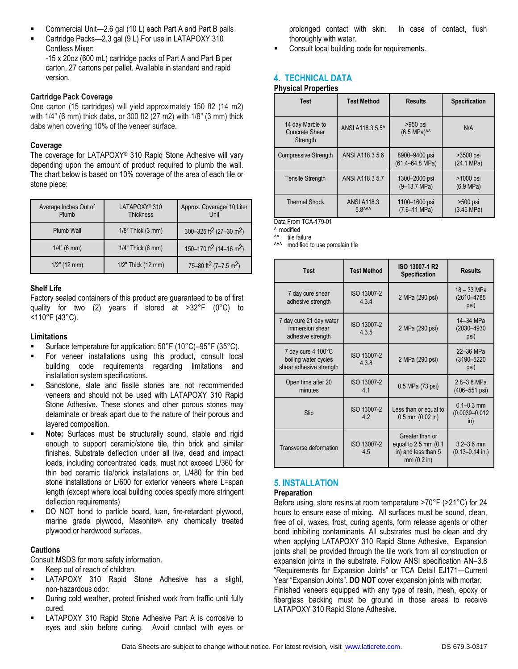- Commercial Unit—2.6 gal (10 L) each Part A and Part B pails
- Cartridge Packs—2.3 gal (9 L) For use in LATAPOXY 310 Cordless Mixer:

-15 x 20oz (600 mL) cartridge packs of Part A and Part B per carton, 27 cartons per pallet. Available in standard and rapid version.

### **Cartridge Pack Coverage**

One carton (15 cartridges) will yield approximately 150 ft2 (14 m2) with 1/4" (6 mm) thick dabs, or 300 ft2 (27 m2) with 1/8" (3 mm) thick dabs when covering 10% of the veneer surface.

### **Coverage**

The coverage for LATAPOXY® 310 Rapid Stone Adhesive will vary depending upon the amount of product required to plumb the wall. The chart below is based on 10% coverage of the area of each tile or stone piece:

| Average Inches Out of<br>Plumb | LATAPOXY <sup>®</sup> 310<br><b>Thickness</b> | Approx. Coverage/ 10 Liter<br>Unit              |
|--------------------------------|-----------------------------------------------|-------------------------------------------------|
| Plumb Wall                     | 1/8" Thick (3 mm)                             | 300-325 ft <sup>2</sup> (27-30 m <sup>2</sup> ) |
| $1/4$ " (6 mm)                 | 1/4" Thick (6 mm)                             | 150-170 ft <sup>2</sup> (14-16 m <sup>2</sup> ) |
| $1/2$ " (12 mm)                | 1/2" Thick (12 mm)                            | 75-80 ft <sup>2</sup> (7-7.5 m <sup>2</sup> )   |

### **Shelf Life**

Factory sealed containers of this product are guaranteed to be of first quality for two (2) years if stored at >32°F (0°C) to <110°F (43°C).

### **Limitations**

- Surface temperature for application: 50°F (10°C)–95°F (35°C).
- For veneer installations using this product, consult local building code requirements regarding limitations and installation system specifications.
- Sandstone, slate and fissile stones are not recommended veneers and should not be used with LATAPOXY 310 Rapid Stone Adhesive. These stones and other porous stones may delaminate or break apart due to the nature of their porous and layered composition.
- **Note:** Surfaces must be structurally sound, stable and rigid enough to support ceramic/stone tile, thin brick and similar finishes. Substrate deflection under all live, dead and impact loads, including concentrated loads, must not exceed L/360 for thin bed ceramic tile/brick installations or, L/480 for thin bed stone installations or L/600 for exterior veneers where L=span length (except where local building codes specify more stringent deflection requirements)
- DO NOT bond to particle board, luan, fire-retardant plywood, marine grade plywood, Masonite®, any chemically treated plywood or hardwood surfaces.

# **Cautions**

Consult MSDS for more safety information.

- Keep out of reach of children.
- LATAPOXY 310 Rapid Stone Adhesive has a slight, non-hazardous odor.
- During cold weather, protect finished work from traffic until fully cured.
- LATAPOXY 310 Rapid Stone Adhesive Part A is corrosive to eyes and skin before curing. Avoid contact with eyes or

prolonged contact with skin. In case of contact, flush thoroughly with water.

Consult local building code for requirements.

# **4. TECHNICAL DATA**

# **Physical Properties**

| <b>Test</b>                                    | <b>Test Method</b>          | <b>Results</b>                               | <b>Specification</b>             |
|------------------------------------------------|-----------------------------|----------------------------------------------|----------------------------------|
| 14 day Marble to<br>Concrete Shear<br>Strength | ANSI A118.3 5.5^            | $>950$ psi<br>(6.5 MPa) <sup>^^</sup>        | N/A                              |
| <b>Compressive Strength</b>                    | ANSI A118.3 5.6             | 8900-9400 psi<br>$(61.4 - 64.8 \text{ MPa})$ | $>3500$ psi<br>(24.1 MPa)        |
| <b>Tensile Strength</b>                        | ANSI A118.3 5.7             | 1300-2000 psi<br>$(9-13.7 MPa)$              | >1000 psi<br>$(6.9 \text{ MPa})$ |
| <b>Thermal Shock</b>                           | <b>ANSI A118.3</b><br>58^^^ | 1100-1600 psi<br>$(7.6 - 11 \text{ MPa})$    | $>500$ psi<br>(3.45 MPa)         |

Data From TCA-179-01

^ modified ^^ tile failure

^^^ modified to use porcelain tile

| <b>Test</b>                                                           | <b>Test Method</b>   | ISO 13007-1 R2<br><b>Specification</b>                                        | <b>Results</b>                              |
|-----------------------------------------------------------------------|----------------------|-------------------------------------------------------------------------------|---------------------------------------------|
| 7 day cure shear<br>adhesive strength                                 | ISO 13007-2<br>434   | 2 MPa (290 psi)                                                               | 18 - 33 MPa<br>(2610-4785<br>psi)           |
| 7 day cure 21 day water<br>immersion shear<br>adhesive strength       | ISO 13007-2<br>4.3.5 | 2 MPa (290 psi)                                                               | 14-34 MPa<br>(2030-4930<br>psi)             |
| 7 day cure 4 100°C<br>boiling water cycles<br>shear adhesive strength | ISO 13007-2<br>4.3.8 | 2 MPa (290 psi)                                                               | 22-36 MPa<br>(3190-5220<br>psi)             |
| Open time after 20<br>minutes                                         | ISO 13007-2<br>41    | 0.5 MPa (73 psi)                                                              | 2.8-3.8 MPa<br>$(406 - 551 \text{ psi})$    |
| Slip                                                                  | ISO 13007-2<br>42    | Less than or equal to<br>$0.5$ mm $(0.02$ in)                                 | $0.1 - 0.3$ mm<br>$(0.0039 - 0.012)$<br>in) |
| Transverse deformation                                                | ISO 13007-2<br>4.5   | Greater than or<br>equal to 2.5 mm (0.1)<br>in) and less than 5<br>mm(0.2 in) | $3.2 - 3.6$ mm<br>$(0.13 - 0.14$ in.)       |

# **5. INSTALLATION**

### **Preparation**

Before using, store resins at room temperature >70°F (>21°C) for 24 hours to ensure ease of mixing. All surfaces must be sound, clean, free of oil, waxes, frost, curing agents, form release agents or other bond inhibiting contaminants. All substrates must be clean and dry when applying LATAPOXY 310 Rapid Stone Adhesive. Expansion joints shall be provided through the tile work from all construction or expansion joints in the substrate. Follow ANSI specification AN–3.8 "Requirements for Expansion Joints" or TCA Detail EJ171—Current Year "Expansion Joints". **DO NOT** cover expansion joints with mortar. Finished veneers equipped with any type of resin, mesh, epoxy or fiberglass backing must be ground in those areas to receive LATAPOXY 310 Rapid Stone Adhesive.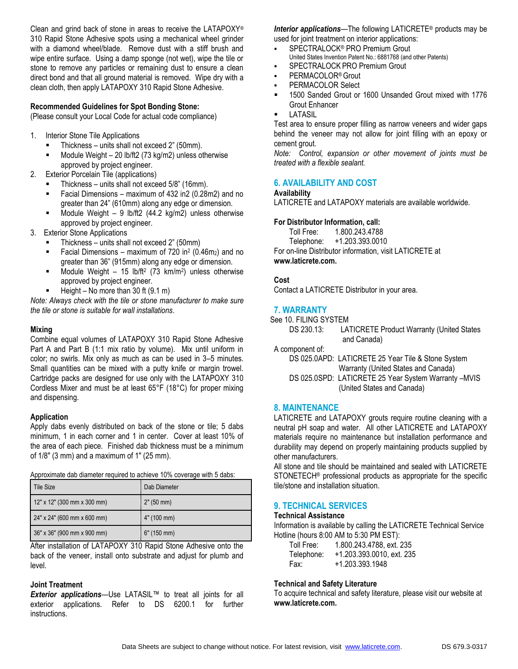Clean and grind back of stone in areas to receive the LATAPOXY® 310 Rapid Stone Adhesive spots using a mechanical wheel grinder with a diamond wheel/blade. Remove dust with a stiff brush and wipe entire surface. Using a damp sponge (not wet), wipe the tile or stone to remove any particles or remaining dust to ensure a clean direct bond and that all ground material is removed. Wipe dry with a clean cloth, then apply LATAPOXY 310 Rapid Stone Adhesive.

# **Recommended Guidelines for Spot Bonding Stone:**

(Please consult your Local Code for actual code compliance)

- 1. Interior Stone Tile Applications
	- Thickness units shall not exceed 2" (50mm).
	- Module Weight 20 lb/ft2 (73 kg/m2) unless otherwise approved by project engineer.
- 2. Exterior Porcelain Tile (applications)
	- Thickness units shall not exceed 5/8" (16mm).
	- Facial Dimensions maximum of 432 in2 (0.28m2) and no greater than 24" (610mm) along any edge or dimension.
	- Module Weight 9 lb/ft2 (44.2 kg/m2) unless otherwise approved by project engineer.
- 3. Exterior Stone Applications
	- Thickness units shall not exceed 2" (50mm)
	- **Facial Dimensions** maximum of 720 in<sup>2</sup> (0.46m<sub>2</sub>) and no greater than 36" (915mm) along any edge or dimension.
	- $\blacksquare$  Module Weight 15 lb/ft<sup>2</sup> (73 km/m<sup>2</sup>) unless otherwise approved by project engineer.
	- Height No more than 30 ft (9.1 m)

*Note: Always check with the tile or stone manufacturer to make sure the tile or stone is suitable for wall installations*.

### **Mixing**

Combine equal volumes of LATAPOXY 310 Rapid Stone Adhesive Part A and Part B (1:1 mix ratio by volume). Mix until uniform in color; no swirls. Mix only as much as can be used in 3–5 minutes. Small quantities can be mixed with a putty knife or margin trowel. Cartridge packs are designed for use only with the LATAPOXY 310 Cordless Mixer and must be at least 65°F (18°C) for proper mixing and dispensing.

### **Application**

Apply dabs evenly distributed on back of the stone or tile; 5 dabs minimum, 1 in each corner and 1 in center. Cover at least 10% of the area of each piece. Finished dab thickness must be a minimum of 1/8" (3 mm) and a maximum of 1" (25 mm).

Approximate dab diameter required to achieve 10% coverage with 5 dabs:

| Tile Size                     | Dab Diameter |
|-------------------------------|--------------|
| $12"$ x 12" (300 mm x 300 mm) | 2" (50 mm)   |
| 24" x 24" (600 mm x 600 mm)   | 4" (100 mm)  |
| 36" x 36" (900 mm x 900 mm)   | 6" (150 mm)  |

After installation of LATAPOXY 310 Rapid Stone Adhesive onto the back of the veneer, install onto substrate and adjust for plumb and level.

### **Joint Treatment**

*Exterior applications*—Use LATASIL™ to treat all joints for all exterior applications. Refer to DS 6200.1 for further instructions.

*Interior applications*—The following LATICRETE® products may be used for joint treatment on interior applications:

- SPECTRALOCK® PRO Premium Grout
	- United States Invention Patent No.: 6881768 (and other Patents)
- SPECTRALOCK PRO Premium Grout
- PERMACOLOR®Grout
- PERMACOLOR Select
- 1500 Sanded Grout or 1600 Unsanded Grout mixed with 1776 Grout Enhancer
- LATASIL

Test area to ensure proper filling as narrow veneers and wider gaps behind the veneer may not allow for joint filling with an epoxy or cement grout.

*Note: Control, expansion or other movement of joints must be treated with a flexible sealant.*

# **6. AVAILABILITY AND COST**

#### **Availability**

LATICRETE and LATAPOXY materials are available worldwide.

# **For Distributor Information, call:**

Toll Free: 1.800.243.4788

Telephone: +1.203.393.0010 For on-line Distributor information, visit LATICRETE at **www.laticrete.com.**

and Canada)

# **Cost**

Contact a LATICRETE Distributor in your area.

### **7. WARRANTY**

See 10. FILING SYSTEM DS 230.13: LATICRETE Product Warranty (United States

A component of:

DS 025.0APD: LATICRETE 25 Year Tile & Stone System Warranty (United States and Canada) DS 025.0SPD: LATICRETE 25 Year System Warranty –MVIS (United States and Canada)

### **8. MAINTENANCE**

LATICRETE and LATAPOXY grouts require routine cleaning with a neutral pH soap and water. All other LATICRETE and LATAPOXY materials require no maintenance but installation performance and durability may depend on properly maintaining products supplied by other manufacturers.

All stone and tile should be maintained and sealed with LATICRETE STONETECH® professional products as appropriate for the specific tile/stone and installation situation.

### **9. TECHNICAL SERVICES**

#### **Technical Assistance**

Information is available by calling the LATICRETE Technical Service Hotline (hours 8:00 AM to 5:30 PM EST):

| Toll Free: | 1.800.243.4788, ext. 235  |
|------------|---------------------------|
| Telephone: | +1.203.393.0010. ext. 235 |
| Fax:       | +1.203.393.1948           |

#### **Technical and Safety Literature**

To acquire technical and safety literature, please visit our website at **www.laticrete.com.**